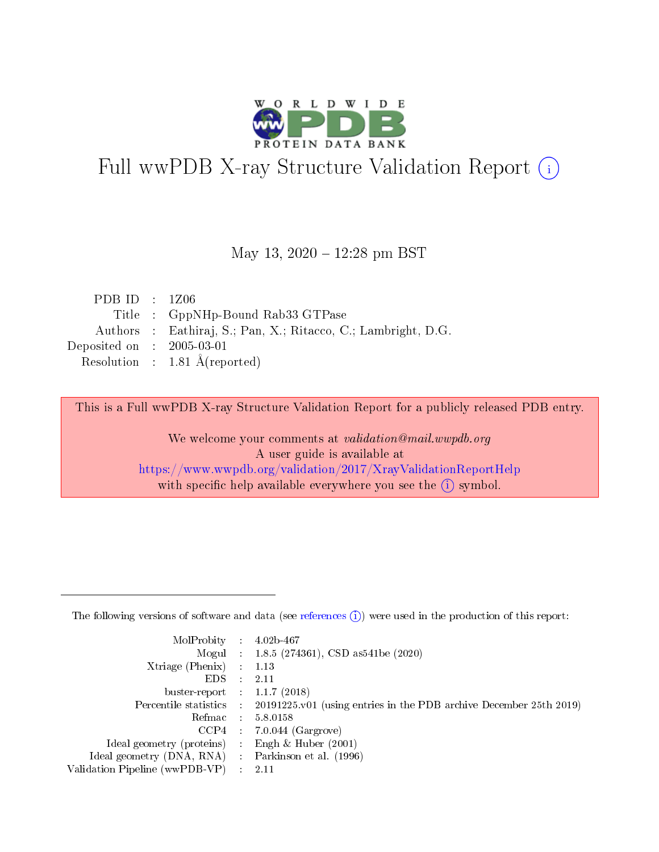

# Full wwPDB X-ray Structure Validation Report (i)

#### May 13,  $2020 - 12:28$  pm BST

| PDB ID : $1Z06$             |                                                               |
|-----------------------------|---------------------------------------------------------------|
|                             | Title : GppNHp-Bound Rab33 GTPase                             |
|                             | Authors : Eathiraj, S.; Pan, X.; Ritacco, C.; Lambright, D.G. |
| Deposited on : $2005-03-01$ |                                                               |
|                             | Resolution : $1.81 \text{ Å}$ (reported)                      |

This is a Full wwPDB X-ray Structure Validation Report for a publicly released PDB entry.

We welcome your comments at validation@mail.wwpdb.org A user guide is available at <https://www.wwpdb.org/validation/2017/XrayValidationReportHelp> with specific help available everywhere you see the  $(i)$  symbol.

The following versions of software and data (see [references](https://www.wwpdb.org/validation/2017/XrayValidationReportHelp#references)  $(1)$ ) were used in the production of this report:

| MolProbity :                   |               | $4.02b - 467$                                                               |
|--------------------------------|---------------|-----------------------------------------------------------------------------|
|                                |               | Mogul : $1.8.5$ (274361), CSD as 541be (2020)                               |
| $X$ triage (Phenix) :          |               | 1.13                                                                        |
| EDS.                           |               | 2.11                                                                        |
| buster-report : $1.1.7$ (2018) |               |                                                                             |
| Percentile statistics :        |               | $20191225 \text{v}01$ (using entries in the PDB archive December 25th 2019) |
| Refmac :                       |               | 5.8.0158                                                                    |
| $CCP4$ :                       |               | $7.0.044$ (Gargrove)                                                        |
| Ideal geometry (proteins) :    |               | Engh $\&$ Huber (2001)                                                      |
| Ideal geometry (DNA, RNA) :    |               | Parkinson et al. (1996)                                                     |
| Validation Pipeline (wwPDB-VP) | $\mathcal{L}$ | 2.11                                                                        |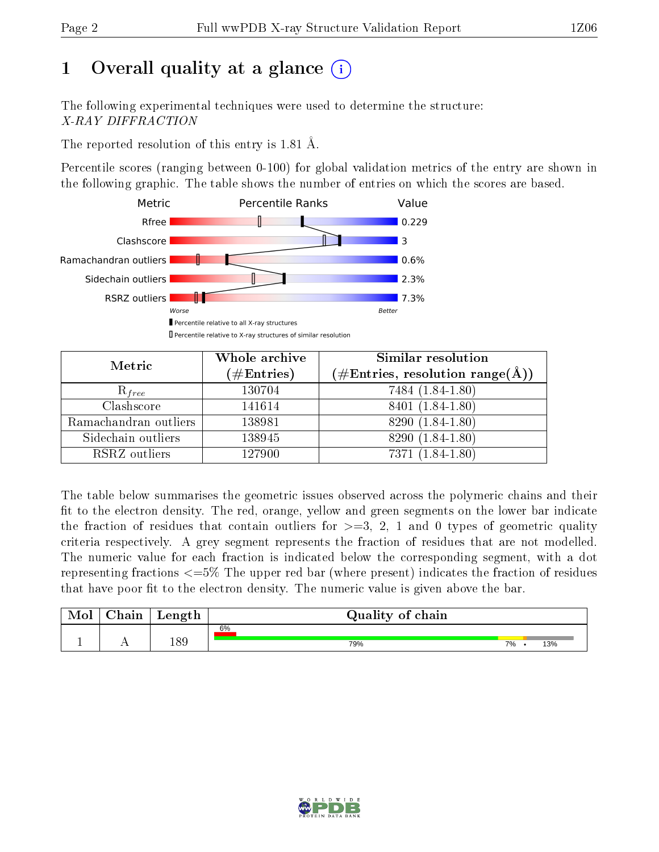# 1 [O](https://www.wwpdb.org/validation/2017/XrayValidationReportHelp#overall_quality)verall quality at a glance  $(i)$

The following experimental techniques were used to determine the structure: X-RAY DIFFRACTION

The reported resolution of this entry is 1.81 Å.

Percentile scores (ranging between 0-100) for global validation metrics of the entry are shown in the following graphic. The table shows the number of entries on which the scores are based.



| Metric                | Whole archive<br>$(\#\mathrm{Entries})$ | Similar resolution<br>$(\#\text{Entries}, \, \text{resolution range}(\textup{\AA}))$ |
|-----------------------|-----------------------------------------|--------------------------------------------------------------------------------------|
| $R_{free}$            | 130704                                  | 7484 (1.84-1.80)                                                                     |
| Clashscore            | 141614                                  | 8401 (1.84-1.80)                                                                     |
| Ramachandran outliers | 138981                                  | 8290 (1.84-1.80)                                                                     |
| Sidechain outliers    | 138945                                  | 8290 (1.84-1.80)                                                                     |
| RSRZ outliers         | 127900                                  | 7371 (1.84-1.80)                                                                     |

The table below summarises the geometric issues observed across the polymeric chains and their fit to the electron density. The red, orange, yellow and green segments on the lower bar indicate the fraction of residues that contain outliers for  $>=3, 2, 1$  and 0 types of geometric quality criteria respectively. A grey segment represents the fraction of residues that are not modelled. The numeric value for each fraction is indicated below the corresponding segment, with a dot representing fractions  $\epsilon=5\%$  The upper red bar (where present) indicates the fraction of residues that have poor fit to the electron density. The numeric value is given above the bar.

| Mol           | hain | Length | Quality of chain |    |     |  |  |  |  |  |
|---------------|------|--------|------------------|----|-----|--|--|--|--|--|
|               |      |        | 6%               |    |     |  |  |  |  |  |
| <u>. на п</u> | . .  | 189    | 79%              | 7% | 13% |  |  |  |  |  |

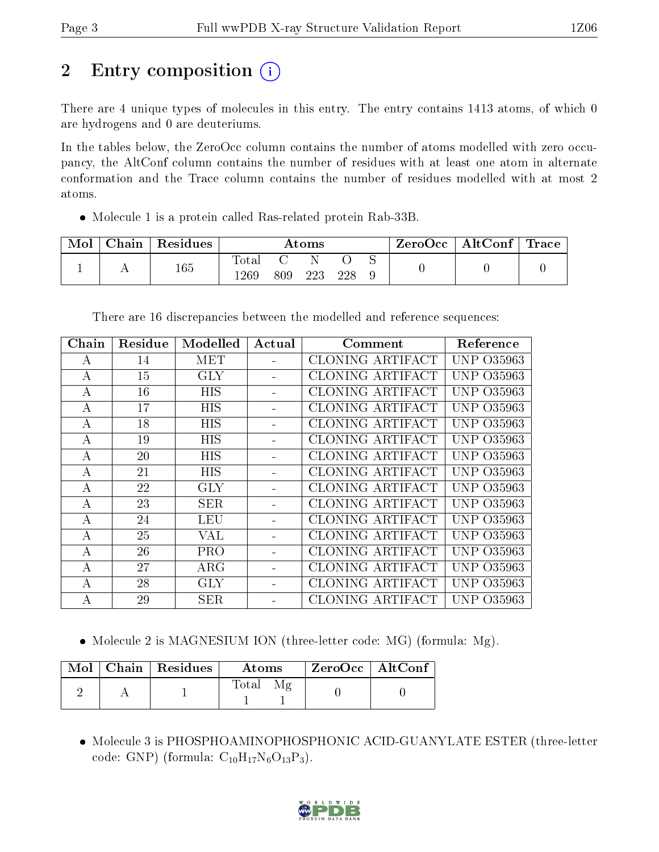# 2 Entry composition  $\left( \cdot \right)$

There are 4 unique types of molecules in this entry. The entry contains 1413 atoms, of which 0 are hydrogens and 0 are deuteriums.

In the tables below, the ZeroOcc column contains the number of atoms modelled with zero occupancy, the AltConf column contains the number of residues with at least one atom in alternate conformation and the Trace column contains the number of residues modelled with at most 2 atoms.

Molecule 1 is a protein called Ras-related protein Rab-33B.

| Mol | Chain | $\,$ Residues | Atoms         |     |     | $\text{ZeroOcc} \mid \text{AltConf} \mid \text{Trace}$ |  |  |  |
|-----|-------|---------------|---------------|-----|-----|--------------------------------------------------------|--|--|--|
|     |       | 165           | Total<br>1269 | 809 | 223 | 228                                                    |  |  |  |

There are 16 discrepancies between the modelled and reference sequences:

| Chain            | Residue | Modelled   | Actual | Comment                 | Reference         |
|------------------|---------|------------|--------|-------------------------|-------------------|
| A                | 14      | MET        |        | CLONING ARTIFACT        | UNP 035963        |
| A                | 15      | <b>GLY</b> |        | <b>CLONING ARTIFACT</b> | <b>UNP 035963</b> |
| А                | 16      | <b>HIS</b> |        | <b>CLONING ARTIFACT</b> | UNP 035963        |
| А                | 17      | <b>HIS</b> |        | <b>CLONING ARTIFACT</b> | <b>UNP 035963</b> |
| A                | 18      | HIS        |        | <b>CLONING ARTIFACT</b> | <b>UNP 035963</b> |
| $\bf{A}$         | 19      | <b>HIS</b> |        | CLONING ARTIFACT        | UNP 035963        |
| A                | 20      | <b>HIS</b> |        | <b>CLONING ARTIFACT</b> | UNP 035963        |
| А                | 21      | HIS        |        | CLONING ARTIFACT        | UNP 035963        |
| $\boldsymbol{A}$ | 22      | <b>GLY</b> |        | <b>CLONING ARTIFACT</b> | UNP 035963        |
| А                | 23      | <b>SER</b> |        | <b>CLONING ARTIFACT</b> | UNP 035963        |
| A                | 24      | <b>LEU</b> |        | CLONING ARTIFACT        | <b>UNP 035963</b> |
| $\bf{A}$         | 25      | VAL        |        | CLONING ARTIFACT        | UNP 035963        |
| A                | 26      | PRO        |        | CLONING ARTIFACT        | UNP 035963        |
| A                | 27      | $\rm{ARG}$ |        | <b>CLONING ARTIFACT</b> | UNP 035963        |
| А                | 28      | <b>GLY</b> |        | CLONING ARTIFACT        | UNP 035963        |
| А                | 29      | <b>SER</b> |        | CLONING ARTIFACT        | UNP-<br>O35963    |

• Molecule 2 is MAGNESIUM ION (three-letter code: MG) (formula: Mg).

|  | $\text{Mol}$   Chain   Residues | <b>Atoms</b>                         | ZeroOcc   AltConf |  |
|--|---------------------------------|--------------------------------------|-------------------|--|
|  |                                 | Total<br>$\mathcal{M}_{\mathcal{P}}$ |                   |  |

 Molecule 3 is PHOSPHOAMINOPHOSPHONIC ACID-GUANYLATE ESTER (three-letter code: GNP) (formula:  $C_{10}H_{17}N_6O_{13}P_3$ ).

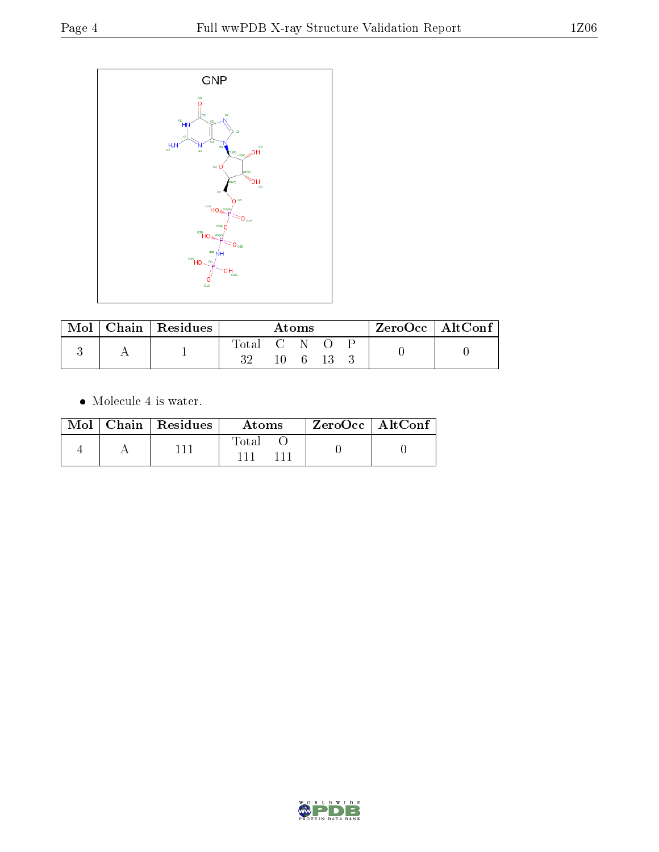

| $\operatorname{Mol}$ | Chain Residues | Atoms       |  |                         |  | $ZeroOcc \mid AltConf \mid$ |  |
|----------------------|----------------|-------------|--|-------------------------|--|-----------------------------|--|
|                      |                | Total<br>າາ |  | $\mathbf C = \mathbf N$ |  |                             |  |

 $\bullet\,$  Molecule 4 is water.

|  | $Mol$   Chain   Residues | Atoms | $\mathsf{ZeroOcc} \mid \mathsf{AltConf} \mid$ |  |
|--|--------------------------|-------|-----------------------------------------------|--|
|  |                          | Fotal |                                               |  |

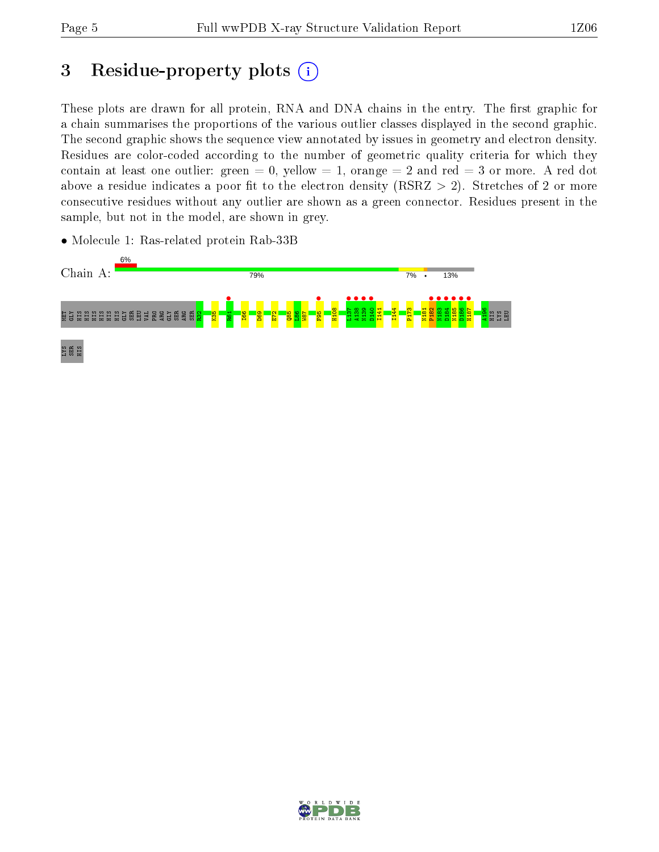## 3 Residue-property plots  $(i)$

These plots are drawn for all protein, RNA and DNA chains in the entry. The first graphic for a chain summarises the proportions of the various outlier classes displayed in the second graphic. The second graphic shows the sequence view annotated by issues in geometry and electron density. Residues are color-coded according to the number of geometric quality criteria for which they contain at least one outlier: green  $= 0$ , yellow  $= 1$ , orange  $= 2$  and red  $= 3$  or more. A red dot above a residue indicates a poor fit to the electron density (RSRZ  $> 2$ ). Stretches of 2 or more consecutive residues without any outlier are shown as a green connector. Residues present in the sample, but not in the model, are shown in grey.



• Molecule 1: Ras-related protein Rab-33B

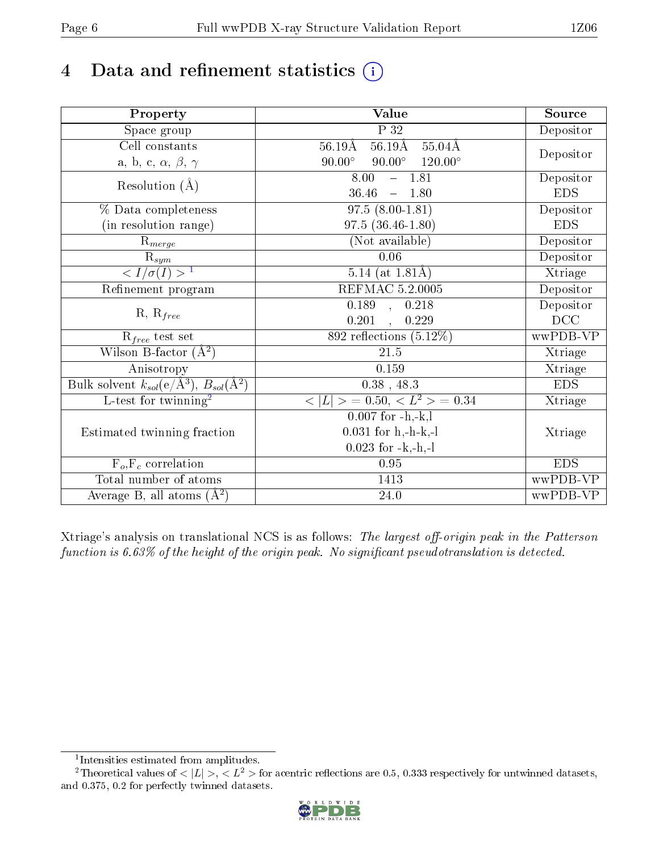# 4 Data and refinement statistics  $(i)$

| Property                                                             | Value                                                       | Source     |
|----------------------------------------------------------------------|-------------------------------------------------------------|------------|
| Space group                                                          | $\overline{P}32$                                            | Depositor  |
| Cell constants                                                       | $56.19\text{\AA}$<br>$55.04\text{\AA}$<br>$56.19\text{\AA}$ |            |
| a, b, c, $\alpha$ , $\beta$ , $\gamma$                               | $90.00^\circ$<br>$90.00^\circ$<br>$120.00^\circ$            | Depositor  |
| Resolution $(\AA)$                                                   | 8.00<br>$-1.81$                                             | Depositor  |
|                                                                      | 36.46<br>$-1.80$                                            | <b>EDS</b> |
| % Data completeness                                                  | $97.5(8.00-1.81)$                                           | Depositor  |
| (in resolution range)                                                | $97.5(36.46-1.80)$                                          | <b>EDS</b> |
| $R_{merge}$                                                          | (Not available)                                             | Depositor  |
| $\overline{\mathbf{R}}_{\underline{sym}}$                            | 0.06                                                        | Depositor  |
| $\frac{1}{\sigma(I)} > 1$                                            | $\overline{5.14}$ (at 1.81Å)                                | Xtriage    |
| Refinement program                                                   | <b>REFMAC 5.2.0005</b>                                      | Depositor  |
| $R, R_{free}$                                                        | 0.189, 0.218                                                | Depositor  |
|                                                                      | 0.201<br>, 0.229                                            | DCC        |
| $R_{free}$ test set                                                  | 892 reflections $(5.12\%)$                                  | wwPDB-VP   |
| Wilson B-factor $(A^2)$                                              | 21.5                                                        | Xtriage    |
| Anisotropy                                                           | 0.159                                                       | Xtriage    |
| Bulk solvent $k_{sol}(e/\mathring{A}^3)$ , $B_{sol}(\mathring{A}^2)$ | $0.38$ , 48.3                                               | <b>EDS</b> |
| L-test for twinning <sup>2</sup>                                     | $< L >$ = 0.50, $< L2 >$ = 0.34                             | Xtriage    |
|                                                                      | $0.007$ for $-h.-k, l$                                      |            |
| Estimated twinning fraction                                          | $0.031$ for h,-h-k,-l                                       | Xtriage    |
|                                                                      | $0.023$ for $-k,-h,-l$                                      |            |
| $F_o, F_c$ correlation                                               | 0.95                                                        | <b>EDS</b> |
| Total number of atoms                                                | 1413                                                        | wwPDB-VP   |
| Average B, all atoms $(A^2)$                                         | 24.0                                                        | wwPDB-VP   |

Xtriage's analysis on translational NCS is as follows: The largest off-origin peak in the Patterson function is  $6.63\%$  of the height of the origin peak. No significant pseudotranslation is detected.

<sup>&</sup>lt;sup>2</sup>Theoretical values of  $\langle |L| \rangle$ ,  $\langle L^2 \rangle$  for acentric reflections are 0.5, 0.333 respectively for untwinned datasets, and 0.375, 0.2 for perfectly twinned datasets.



<span id="page-5-1"></span><span id="page-5-0"></span><sup>1</sup> Intensities estimated from amplitudes.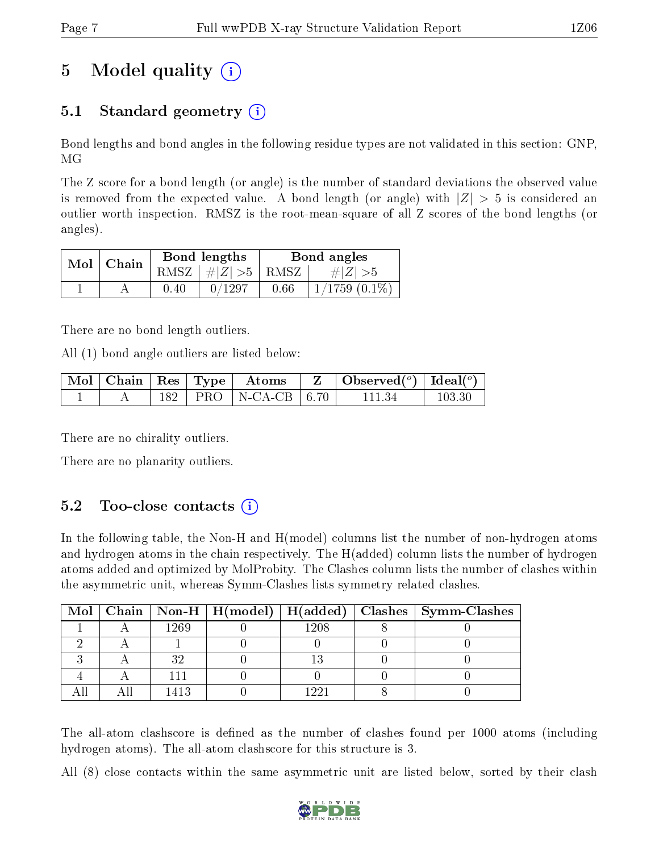# 5 Model quality  $(i)$

## 5.1 Standard geometry  $(i)$

Bond lengths and bond angles in the following residue types are not validated in this section: GNP, MG

The Z score for a bond length (or angle) is the number of standard deviations the observed value is removed from the expected value. A bond length (or angle) with  $|Z| > 5$  is considered an outlier worth inspection. RMSZ is the root-mean-square of all Z scores of the bond lengths (or angles).

|  | $Mol$   Chain |      | Bond lengths                     | Bond angles |                    |  |
|--|---------------|------|----------------------------------|-------------|--------------------|--|
|  |               |      | RMSZ $\mid \#  Z  > 5 \mid$ RMSZ |             | $\# Z  > 5$        |  |
|  |               | 0.40 | 0/1297                           | 0.66        | $1/1759$ $(0.1\%)$ |  |

There are no bond length outliers.

All (1) bond angle outliers are listed below:

|  |  |                              | $\mid$ Mol $\mid$ Chain $\mid$ Res $\mid$ Type $\mid$ Atoms $\mid$ Z $\mid$ Observed( <sup>o</sup> ) $\mid$ Ideal( <sup>o</sup> ) |        |
|--|--|------------------------------|-----------------------------------------------------------------------------------------------------------------------------------|--------|
|  |  | $182$   PRO   N-CA-CB   6.70 | -11134                                                                                                                            | 103.30 |

There are no chirality outliers.

There are no planarity outliers.

### $5.2$  Too-close contacts  $(i)$

In the following table, the Non-H and H(model) columns list the number of non-hydrogen atoms and hydrogen atoms in the chain respectively. The H(added) column lists the number of hydrogen atoms added and optimized by MolProbity. The Clashes column lists the number of clashes within the asymmetric unit, whereas Symm-Clashes lists symmetry related clashes.

|  |      |      | Mol   Chain   Non-H   H(model)   H(added)   Clashes   Symm-Clashes |
|--|------|------|--------------------------------------------------------------------|
|  | 1269 | 1208 |                                                                    |
|  |      |      |                                                                    |
|  |      |      |                                                                    |
|  |      |      |                                                                    |
|  |      | 1 ດດ |                                                                    |

The all-atom clashscore is defined as the number of clashes found per 1000 atoms (including hydrogen atoms). The all-atom clashscore for this structure is 3.

All (8) close contacts within the same asymmetric unit are listed below, sorted by their clash

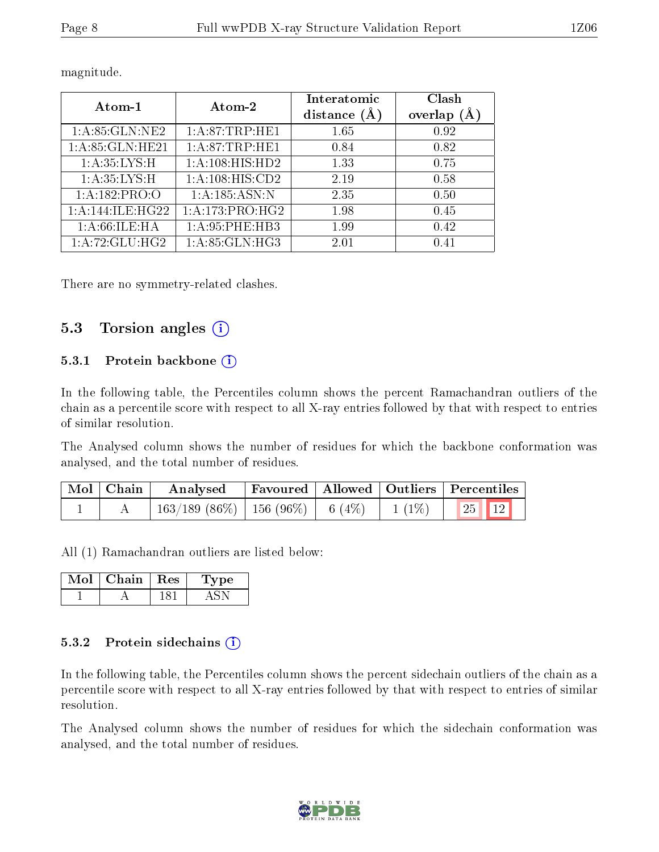| Atom-1                          | Atom-2             | Interatomic    | Clash   |
|---------------------------------|--------------------|----------------|---------|
|                                 |                    | distance $(A)$ | overlap |
| 1: A:85: GLN:NE2                | 1: A:87:TRP:HE1    | 1.65           | 0.92    |
| $1: A:85: GLN: \overline{HE21}$ | 1: A:87:TRP:HE1    | 0.84           | 0.82    |
| 1: A:35:LYS:H                   | 1: A:108: HIS: HD2 | 1.33           | 0.75    |
| 1: A:35:LYS:H                   | 1:A:108:HIS:CD2    | 2.19           | 0.58    |
| 1: A: 182: PRO: O               | 1:A:185:ASN:N      | 2.35           | 0.50    |
| 1:A:144:ILE:HG22                | 1: A:173:PRO:HG2   | 1.98           | 0.45    |
| 1: A:66: ILE: HA                | 1: A:95:PHE:HB3    | 1.99           | 0.42    |
| 1: A:72: GLU:HG2                | 1: A:85: GLN:HG3   | 2.01           | 0.41    |

magnitude.

There are no symmetry-related clashes.

### 5.3 Torsion angles (i)

#### 5.3.1 Protein backbone  $(i)$

In the following table, the Percentiles column shows the percent Ramachandran outliers of the chain as a percentile score with respect to all X-ray entries followed by that with respect to entries of similar resolution.

The Analysed column shows the number of residues for which the backbone conformation was analysed, and the total number of residues.

| $\mid$ Mol $\mid$ Chain $\mid$ | Analysed                                                            |  | Favoured   Allowed   Outliers   Percentiles |
|--------------------------------|---------------------------------------------------------------------|--|---------------------------------------------|
|                                | $\frac{1}{163}/189$ (86\%)   156 (96\%)   6 (4\%)   1 (1\%)   25 12 |  |                                             |

All (1) Ramachandran outliers are listed below:

| Chain - | $\perp$ Res | vpe |
|---------|-------------|-----|
|         |             |     |

#### 5.3.2 Protein sidechains  $(i)$

In the following table, the Percentiles column shows the percent sidechain outliers of the chain as a percentile score with respect to all X-ray entries followed by that with respect to entries of similar resolution.

The Analysed column shows the number of residues for which the sidechain conformation was analysed, and the total number of residues.

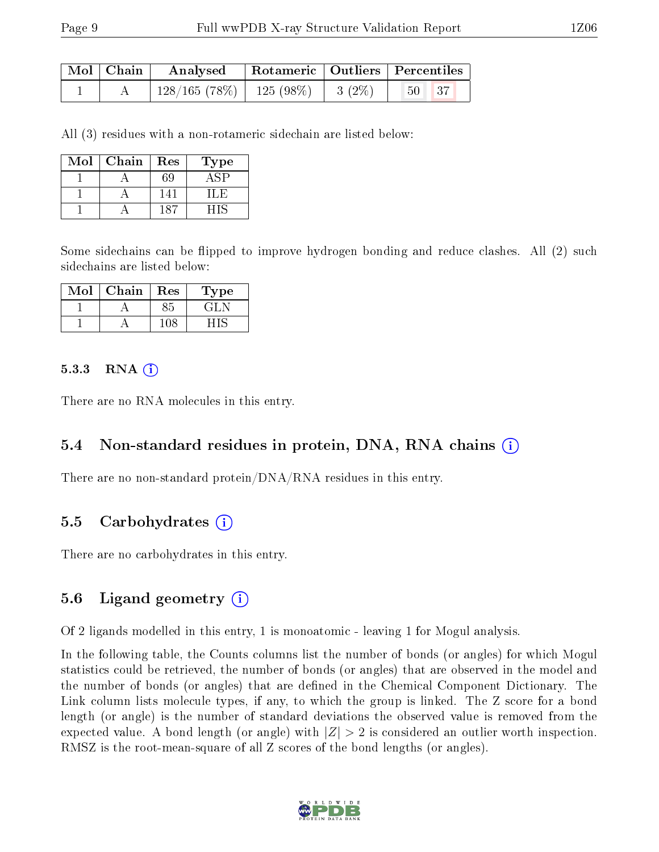| $\mid$ Mol $\mid$ Chain $\mid$ | Analysed Rotameric   Outliers   Percentiles                  |  |         |  |
|--------------------------------|--------------------------------------------------------------|--|---------|--|
|                                | $\mid$ 128/165 (78%) $\mid$ 125 (98%) $\mid$ 3 (2%) $\mid$ 1 |  | $50$ 37 |  |

All (3) residues with a non-rotameric sidechain are listed below:

| Mol | Chain | Res | Type  |
|-----|-------|-----|-------|
|     |       |     |       |
|     |       | 14  | l I.H |
|     |       | 187 |       |

Some sidechains can be flipped to improve hydrogen bonding and reduce clashes. All (2) such sidechains are listed below:

| Mol | Chain | <b>Res</b> | Type  |
|-----|-------|------------|-------|
|     |       |            | . 41. |
|     |       |            |       |

#### $5.3.3$  RNA  $(i)$

There are no RNA molecules in this entry.

### 5.4 Non-standard residues in protein, DNA, RNA chains (i)

There are no non-standard protein/DNA/RNA residues in this entry.

#### 5.5 Carbohydrates (i)

There are no carbohydrates in this entry.

### 5.6 Ligand geometry (i)

Of 2 ligands modelled in this entry, 1 is monoatomic - leaving 1 for Mogul analysis.

In the following table, the Counts columns list the number of bonds (or angles) for which Mogul statistics could be retrieved, the number of bonds (or angles) that are observed in the model and the number of bonds (or angles) that are defined in the Chemical Component Dictionary. The Link column lists molecule types, if any, to which the group is linked. The Z score for a bond length (or angle) is the number of standard deviations the observed value is removed from the expected value. A bond length (or angle) with  $|Z| > 2$  is considered an outlier worth inspection. RMSZ is the root-mean-square of all Z scores of the bond lengths (or angles).

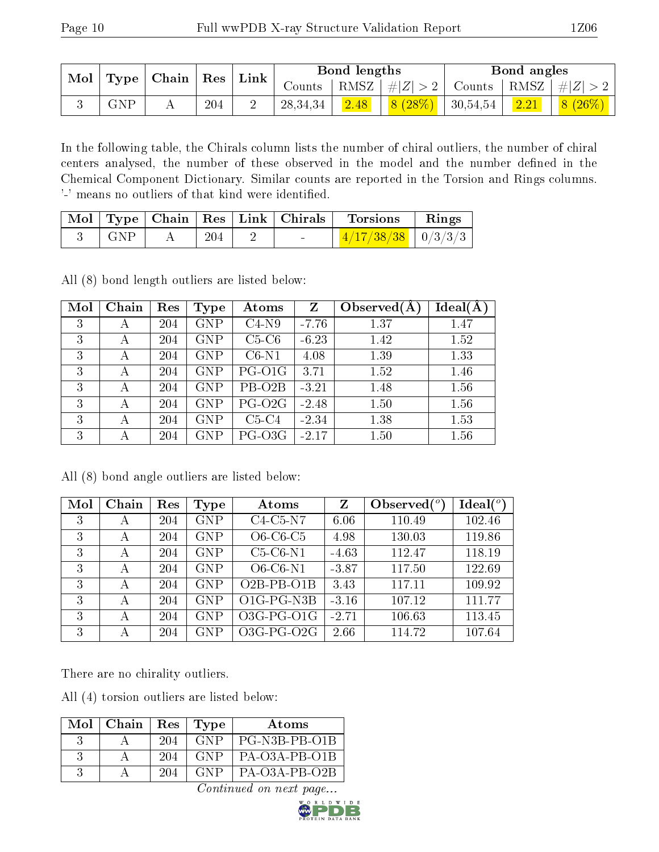| $\bf{Mol}$ |            | $\mid$ Type   Chain   Res   . |         | $\perp$ Link |          | Bond lengths   |                                                                                           | Bond angles |                                                                   |
|------------|------------|-------------------------------|---------|--------------|----------|----------------|-------------------------------------------------------------------------------------------|-------------|-------------------------------------------------------------------|
|            |            |                               |         |              |          |                |                                                                                           |             | Counts   RMSZ $\mid \#  Z  > 2$   Counts   RMSZ $\mid \#  Z  > 2$ |
|            | <b>GNP</b> |                               | $204\,$ |              | 28,34,34 | $\boxed{2.48}$ | $\begin{array}{ c c c c c c c c } \hline 8 & (28\%) & 30,54,54 & 2.21 \hline \end{array}$ |             | $8(26\%)$                                                         |

In the following table, the Chirals column lists the number of chiral outliers, the number of chiral centers analysed, the number of these observed in the model and the number defined in the Chemical Component Dictionary. Similar counts are reported in the Torsion and Rings columns. '-' means no outliers of that kind were identified.

|     |     | $\mid$ Mol $\mid$ Type $\mid$ Chain $\mid$ Res $\mid$ Link $\mid$ Chirals $\mid$ | Torsions                                          | $\mathbf{Rings}$ |
|-----|-----|----------------------------------------------------------------------------------|---------------------------------------------------|------------------|
| GNP | 204 | <b>Contract Contract</b>                                                         | $\frac{1}{4}/\frac{4}{17}/38/\sqrt{38}$   0/3/3/3 |                  |

All (8) bond length outliers are listed below:

| Mol | Chain | Res | Type       | Atoms               | $\mathbf{Z}$ | Observed $(A$ | $Ideal(\AA)$ |
|-----|-------|-----|------------|---------------------|--------------|---------------|--------------|
| 3   | А     | 204 | <b>GNP</b> | $C4-N9$             | $-7.76$      | 1.37          | 1.47         |
| 3   | А     | 204 | <b>GNP</b> | $C5-C6$             | $-6.23$      | 1.42          | 1.52         |
| 3   | А     | 204 | <b>GNP</b> | $C6-N1$             | 4.08         | 1.39          | 1.33         |
| 3   | А     | 204 | <b>GNP</b> | PG-O1G              | 3.71         | 1.52          | 1.46         |
| 3   |       | 204 | <b>GNP</b> | PB-O <sub>2</sub> B | $-3.21$      | 1.48          | 1.56         |
| 3   | А     | 204 | <b>GNP</b> | $PG-O2G$            | $-2.48$      | 1.50          | 1.56         |
| 3   |       | 204 | <b>GNP</b> | $C5-C4$             | $-2.34$      | 1.38          | 1.53         |
| 3   |       | 204 | GNP        | PG-O3G              | $-2.17$      | 1.50          | 1.56         |

All (8) bond angle outliers are listed below:

| Mol | Chain | Res | Type       | Atoms        | Z       | Observed $(°)$ | Ideal $(°)$ |
|-----|-------|-----|------------|--------------|---------|----------------|-------------|
| 3   | А     | 204 | <b>GNP</b> | $C4-C5-N7$   | 6.06    | 110.49         | 102.46      |
| 3   | А     | 204 | <b>GNP</b> | $O6-C6-C5$   | 4.98    | 130.03         | 119.86      |
| 3   | А     | 204 | <b>GNP</b> | $C5-C6-N1$   | $-4.63$ | 112.47         | 118.19      |
| 3   | А     | 204 | <b>GNP</b> | $O6-C6-N1$   | $-3.87$ | 117.50         | 122.69      |
| 3   | А     | 204 | <b>GNP</b> | $O2B-PB-O1B$ | 3.43    | 117.11         | 109.92      |
| 3   | А     | 204 | <b>GNP</b> | O1G-PG-N3B   | $-3.16$ | 107.12         | 111.77      |
| 3   | А     | 204 | <b>GNP</b> | $O3G-PG-O1G$ | $-2.71$ | 106.63         | 113.45      |
| 3   | А     | 204 | GNP        | $O3G-PG-O2G$ | 2.66    | 114.72         | 107.64      |

There are no chirality outliers.

All (4) torsion outliers are listed below:

| Mol | Chain | Res | $\vert$ Type | Atoms           |
|-----|-------|-----|--------------|-----------------|
|     |       | 204 | GNP          | PG-N3B-PB-O1B   |
|     |       | 204 | GNP.         | PA-O3A-PB-O1B   |
|     |       | 204 | GNP          | $PA-O3A-PB-O2B$ |

Continued on next page...

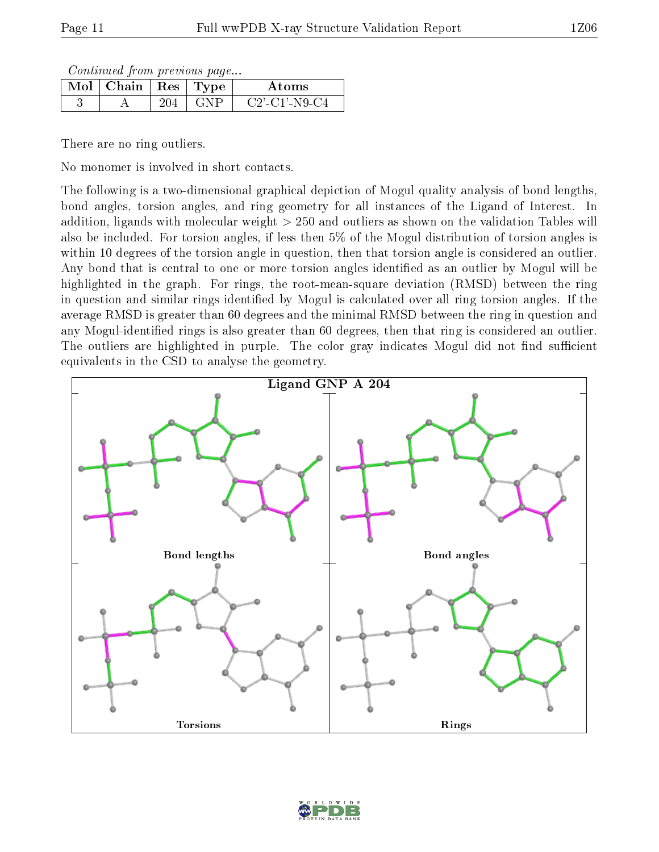Continued from previous page...

| $\text{Mol} \mid \text{Chain} \mid \text{Res} \mid \text{Type}$ |  | Atoms            |
|-----------------------------------------------------------------|--|------------------|
|                                                                 |  | $C2'$ -C1'-N9-C4 |

There are no ring outliers.

No monomer is involved in short contacts.

The following is a two-dimensional graphical depiction of Mogul quality analysis of bond lengths, bond angles, torsion angles, and ring geometry for all instances of the Ligand of Interest. In addition, ligands with molecular weight > 250 and outliers as shown on the validation Tables will also be included. For torsion angles, if less then 5% of the Mogul distribution of torsion angles is within 10 degrees of the torsion angle in question, then that torsion angle is considered an outlier. Any bond that is central to one or more torsion angles identified as an outlier by Mogul will be highlighted in the graph. For rings, the root-mean-square deviation (RMSD) between the ring in question and similar rings identified by Mogul is calculated over all ring torsion angles. If the average RMSD is greater than 60 degrees and the minimal RMSD between the ring in question and any Mogul-identified rings is also greater than 60 degrees, then that ring is considered an outlier. The outliers are highlighted in purple. The color gray indicates Mogul did not find sufficient equivalents in the CSD to analyse the geometry.



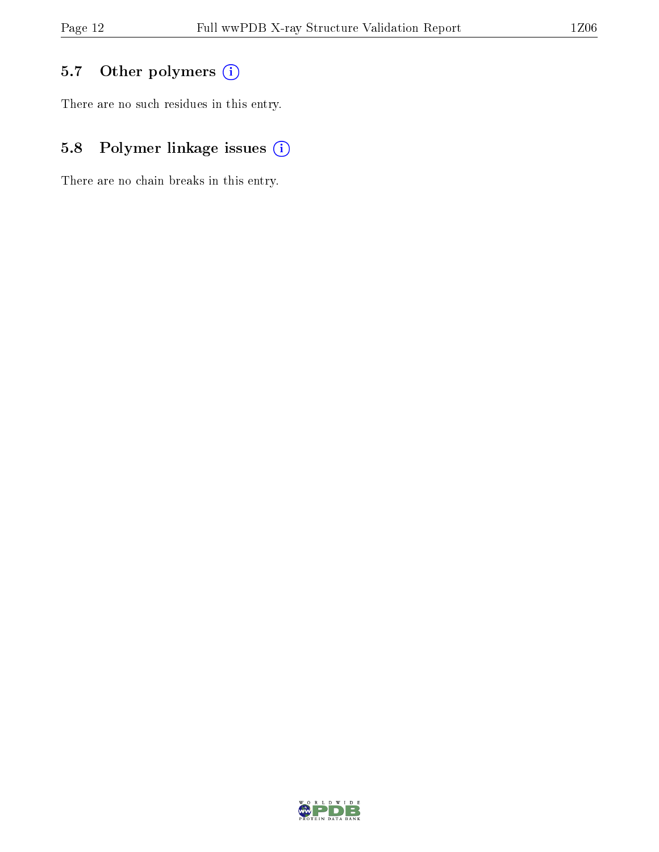## 5.7 [O](https://www.wwpdb.org/validation/2017/XrayValidationReportHelp#nonstandard_residues_and_ligands)ther polymers (i)

There are no such residues in this entry.

## 5.8 Polymer linkage issues (i)

There are no chain breaks in this entry.

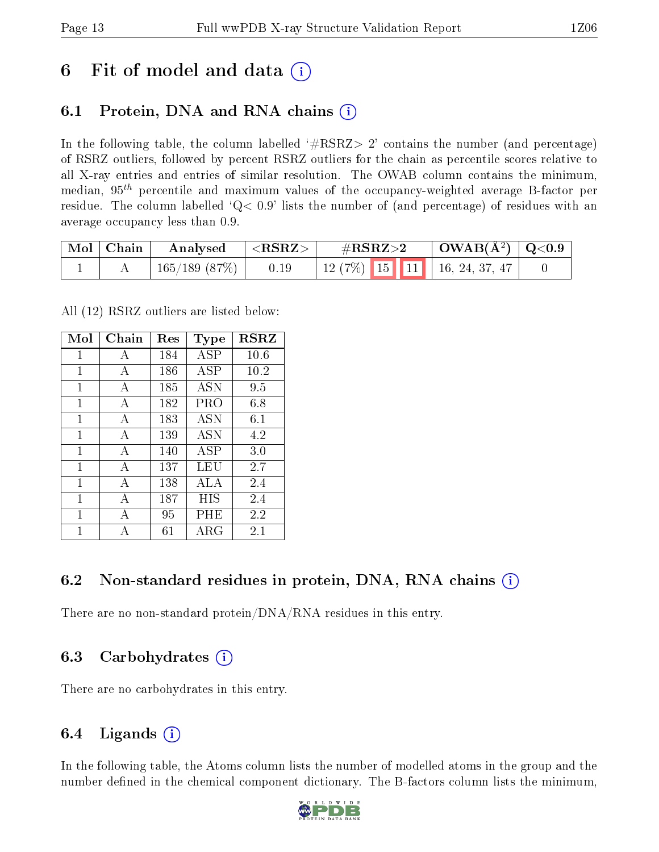## 6 Fit of model and data  $\circ$

## 6.1 Protein, DNA and RNA chains (i)

In the following table, the column labelled  $#RSRZ>2'$  contains the number (and percentage) of RSRZ outliers, followed by percent RSRZ outliers for the chain as percentile scores relative to all X-ray entries and entries of similar resolution. The OWAB column contains the minimum, median,  $95<sup>th</sup>$  percentile and maximum values of the occupancy-weighted average B-factor per residue. The column labelled  $Q< 0.9$  lists the number of (and percentage) of residues with an average occupancy less than 0.9.

| $\mid$ Mol $\mid$ Chain | Analysed     | $\langle {\rm \,RRZ}\rangle$ | $\#\text{RSRZ}{>}2$                | $\mid$ OWAB(Å <sup>2</sup> ) $\mid$ Q<0.9 |  |
|-------------------------|--------------|------------------------------|------------------------------------|-------------------------------------------|--|
|                         | 165/189(87%) | 0.19                         | 12 (7%)   15   11   16, 24, 37, 47 |                                           |  |

All (12) RSRZ outliers are listed below:

| Mol | ${\bf Chain}$ | Res | Type       | <b>RSRZ</b> |
|-----|---------------|-----|------------|-------------|
| 1   | A             | 184 | <b>ASP</b> | 10.6        |
| 1   | A             | 186 | <b>ASP</b> | 10.2        |
| 1   | A             | 185 | <b>ASN</b> | 9.5         |
| 1   | А             | 182 | PRO        | 6.8         |
| 1   | A             | 183 | <b>ASN</b> | $6.1\,$     |
| 1   | А             | 139 | <b>ASN</b> | 4.2         |
| 1   | $\mathbf{A}$  | 140 | ASP        | 3.0         |
| 1   | А             | 137 | LEU        | 2.7         |
| 1   | A             | 138 | <b>ALA</b> | 2.4         |
| 1   | А             | 187 | HIS        | 2.4         |
| 1   | А             | 95  | PHE        | 2.2         |
| 1   | А             | 61  | ARG        | 2.1         |

### 6.2 Non-standard residues in protein, DNA, RNA chains  $(i)$

There are no non-standard protein/DNA/RNA residues in this entry.

### 6.3 Carbohydrates (i)

There are no carbohydrates in this entry.

## 6.4 Ligands  $(i)$

In the following table, the Atoms column lists the number of modelled atoms in the group and the number defined in the chemical component dictionary. The B-factors column lists the minimum,